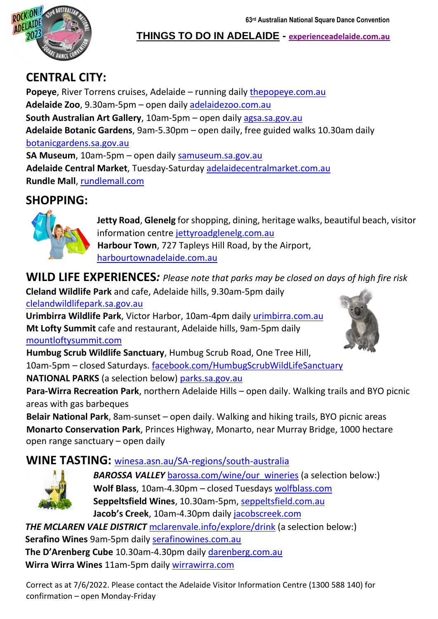**63rd Australian National Square Dance Convention** 



**THINGS TO DO IN ADELAIDE - [experienceadelaide.com.au](https://www.experienceadelaide.com.au/)**

# **CENTRAL CITY:**

**Popeye**, River Torrens cruises, Adelaide - running daily [thepopeye.com.au](http://www.thepopeye.com.au/) **Adelaide Zoo**, 9.30am-5pm – open daily [adelaidezoo.com.au](http://www.adelaidezoo.com.au/) **South Australian Art Gallery**, 10am-5pm – open daily [agsa.sa.gov.au](http://www.agsa.sa.gov.au/) **Adelaide Botanic Gardens**, 9am-5.30pm – open daily, free guided walks 10.30am daily [botanicgardens.sa.gov.au](http://www.botanicgardens.sa.gov.au/) **SA Museum**, 10am-5pm – open daily [samuseum.sa.gov.au](http://www.samuseum.sa.gov.au/) **Adelaide Central Market**, Tuesday-Saturday [adelaidecentralmarket.com.au](https://adelaidecentralmarket.com.au/) **Rundle Mall**, [rundlemall.com](http://www.rundlemall.com/)

# **SHOPPING:**



**Jetty Road**, **Glenelg** for shopping, dining, heritage walks, beautiful beach, visitor information centre [jettyroadglenelg.com.au](http://www.jettyroadglenelg.com.au/) **Harbour Town**, 727 Tapleys Hill Road, by the Airport, [harbourtownadelaide.com.au](https://harbourtownadelaide.com.au/)

**WILD LIFE EXPERIENCES***: Please note that parks may be closed on days of high fire risk* 

**[Cleland W](https://creativecommons.org/licenses/by-nc/3.0/)ildlife Park** and cafe, Adelaide hills, 9.30am-5pm daily [clelandwildlifepark.sa.gov.au](http://www.clelandwildlifepark.sa.gov.au/)

**Urimbirra Wildlife Park**, Victor Harbor, 10am-4pm daily [urimbirra.com.au](http://www.urimbirra.com.au/) **Mt Lofty Summit** cafe and restaurant, Adelaide hills, 9am-5pm daily [mountloftysummit.com](http://www.mountloftysummit.com/)



**Humbug Scrub Wildlife Sanctuary**, Humbug Scrub Road, One Tree Hill, 10am-5pm – closed Saturdays. [facebook.com/HumbugScrubWildLifeSanctuary](http://www.facebook.com/HumbugScrubWildLifeSanctuary) **NATIONAL PARKS** (a selection below) [parks.sa.gov.au](http://www.parks.sa.gov.au/)

**Para-Wirra Recreation Park**, northern Adelaide Hills – open daily. Walking t[rails an](https://creativecommons.org/licenses/by/3.0/)d BYO picnic areas with gas barbeques

**Belair National Park**, 8am-sunset – open daily. Walking and hiking trails, BYO picnic areas **Monarto Conservation Park**, Princes Highway, Monarto, near Murray Bridge, 1000 hectare open range sanctuary – open daily

## **WINE TASTING:** [winesa.asn.au/SA-regions/south-australia](http://www.winesa.asn.au/SA-regions/south-australia)



**BAROSSA VALLEY** [barossa.com/wine/our\\_wineries](http://www.barossa.com/wine/our_wineries) (a selection below:) **Wolf Blass**, 10am-4.30pm – closed Tuesdays [wolfblass.com](http://www.wolfblass.com/) **Seppeltsfield Wines**, 10.30am-5pm, [seppeltsfield.com.au](https://seppeltsfield.com.au/) **Jacob's Creek**, 10am-4.30pm daily [jacobscreek.com](http://www.jacobscreek.com/)

**THE MCLAREN VALE DISTRICT** [mclarenvale.info/explore/drink](https://mclarenvale.info/explore/drink) (a selection below:) **Serafino Wines** 9am-5pm daily [serafinowines.com.au](https://serafinowines.com.au/) **The D'Arenberg Cube** 10.30am-4.30pm daily [darenberg.com.au](http://www.darenberg.com.au/)

**Wirra Wirra Wines** 11am-5pm daily [wirrawirra.com](https://wirrawirra.com/)

Correct as at 7/6/2022. Please contact the Adelaide Visitor Information Centre (1300 588 140) for confirmation – open Monday-Friday